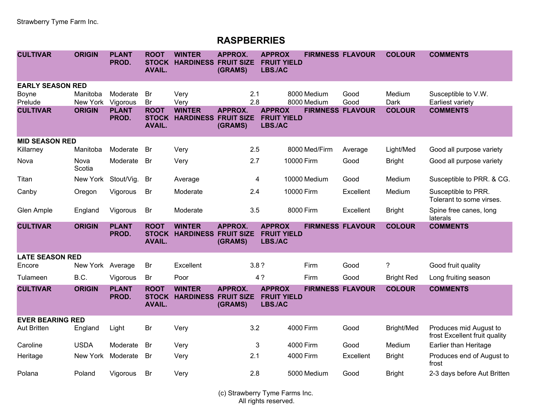## **RASPBERRIES**

| <b>CULTIVAR</b>         | <b>ORIGIN</b>        | <b>PLANT</b><br>PROD. | <b>ROOT</b><br><b>STOCK</b><br><b>AVAIL.</b> | <b>WINTER</b><br><b>HARDINESS FRUIT SIZE</b> | <b>APPROX.</b><br>(GRAMS) | <b>APPROX</b><br><b>FRUIT YIELD</b><br><b>LBS./AC</b> | <b>FIRMNESS FLAVOUR</b>    |              | <b>COLOUR</b>     | <b>COMMENTS</b>                                         |
|-------------------------|----------------------|-----------------------|----------------------------------------------|----------------------------------------------|---------------------------|-------------------------------------------------------|----------------------------|--------------|-------------------|---------------------------------------------------------|
| <b>EARLY SEASON RED</b> |                      |                       |                                              |                                              |                           |                                                       |                            |              |                   |                                                         |
| <b>Boyne</b><br>Prelude | Manitoba<br>New York | Moderate<br>Vigorous  | Br<br>Br                                     | Very<br>Very                                 | 2.1<br>2.8                |                                                       | 8000 Medium<br>8000 Medium | Good<br>Good | Medium<br>Dark    | Susceptible to V.W.<br>Earliest variety                 |
| <b>CULTIVAR</b>         | <b>ORIGIN</b>        | <b>PLANT</b><br>PROD. | <b>ROOT</b><br><b>STOCK</b><br><b>AVAIL.</b> | <b>WINTER</b><br><b>HARDINESS FRUIT SIZE</b> | <b>APPROX.</b><br>(GRAMS) | <b>APPROX</b><br><b>FRUIT YIELD</b><br>LBS./AC        | <b>FIRMNESS FLAVOUR</b>    |              | <b>COLOUR</b>     | <b>COMMENTS</b>                                         |
| <b>MID SEASON RED</b>   |                      |                       |                                              |                                              |                           |                                                       |                            |              |                   |                                                         |
| Killarney               | Manitoba             | Moderate              | <b>Br</b>                                    | Very                                         | 2.5                       |                                                       | 8000 Med/Firm              | Average      | Light/Med         | Good all purpose variety                                |
| Nova                    | Nova<br>Scotia       | Moderate              | <b>Br</b>                                    | Very                                         | 2.7                       |                                                       | 10000 Firm                 | Good         | <b>Bright</b>     | Good all purpose variety                                |
| Titan                   | New York             | Stout/Vig.            | <b>Br</b>                                    | Average                                      | 4                         |                                                       | 10000 Medium               | Good         | Medium            | Susceptible to PRR. & CG.                               |
| Canby                   | Oregon               | Vigorous              | Br                                           | Moderate                                     | 2.4                       |                                                       | 10000 Firm                 | Excellent    | Medium            | Susceptible to PRR.<br>Tolerant to some virses.         |
| Glen Ample              | England              | Vigorous              | Br                                           | Moderate                                     | 3.5                       |                                                       | 8000 Firm                  | Excellent    | <b>Bright</b>     | Spine free canes, long<br>laterals                      |
| <b>CULTIVAR</b>         | <b>ORIGIN</b>        | <b>PLANT</b><br>PROD. | <b>ROOT</b><br><b>STOCK</b><br><b>AVAIL.</b> | <b>WINTER</b><br><b>HARDINESS FRUIT SIZE</b> | <b>APPROX.</b><br>(GRAMS) | <b>APPROX</b><br><b>FRUIT YIELD</b><br><b>LBS./AC</b> | <b>FIRMNESS FLAVOUR</b>    |              | <b>COLOUR</b>     | <b>COMMENTS</b>                                         |
| <b>LATE SEASON RED</b>  |                      |                       |                                              |                                              |                           |                                                       |                            |              |                   |                                                         |
| Encore                  | New York Average     |                       | Br                                           | Excellent                                    | 3.8?                      |                                                       | Firm                       | Good         | $\tilde{?}$       | Good fruit quality                                      |
| Tulameen                | B.C.                 | Vigorous              | Br                                           | Poor                                         |                           | 4?                                                    | Firm                       | Good         | <b>Bright Red</b> | Long fruiting season                                    |
| <b>CULTIVAR</b>         | <b>ORIGIN</b>        | <b>PLANT</b><br>PROD. | <b>ROOT</b><br><b>STOCK</b><br><b>AVAIL.</b> | <b>WINTER</b><br><b>HARDINESS FRUIT SIZE</b> | <b>APPROX.</b><br>(GRAMS) | <b>APPROX</b><br><b>FRUIT YIELD</b><br><b>LBS./AC</b> | <b>FIRMNESS FLAVOUR</b>    |              | <b>COLOUR</b>     | <b>COMMENTS</b>                                         |
| <b>EVER BEARING RED</b> |                      |                       |                                              |                                              |                           |                                                       |                            |              |                   |                                                         |
| <b>Aut Britten</b>      | England              | Light                 | Br                                           | Very                                         | 3.2                       |                                                       | 4000 Firm                  | Good         | Bright/Med        | Produces mid August to<br>frost Excellent fruit quality |
| Caroline                | <b>USDA</b>          | Moderate              | <b>Br</b>                                    | Very                                         | 3                         |                                                       | 4000 Firm                  | Good         | Medium            | Earlier than Heritage                                   |
| Heritage                | New York             | Moderate              | <b>Br</b>                                    | Very                                         | 2.1                       |                                                       | 4000 Firm                  | Excellent    | <b>Bright</b>     | Produces end of August to<br>frost                      |
| Polana                  | Poland               | Vigorous              | Br                                           | Very                                         | 2.8                       |                                                       | 5000 Medium                | Good         | <b>Bright</b>     | 2-3 days before Aut Britten                             |